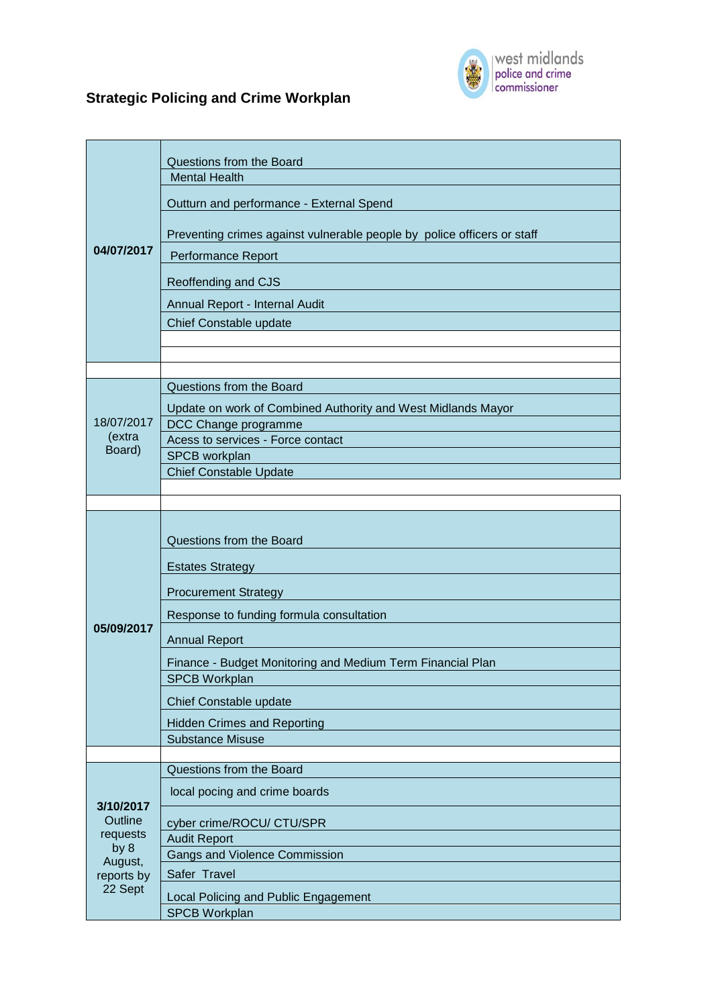

## **Strategic Policing and Crime Workplan**

| 04/07/2017                                                                   | Questions from the Board<br><b>Mental Health</b><br>Outturn and performance - External Spend<br>Preventing crimes against vulnerable people by police officers or staff<br>Performance Report |
|------------------------------------------------------------------------------|-----------------------------------------------------------------------------------------------------------------------------------------------------------------------------------------------|
|                                                                              | Reoffending and CJS<br>Annual Report - Internal Audit<br>Chief Constable update                                                                                                               |
|                                                                              | Questions from the Board                                                                                                                                                                      |
| 18/07/2017<br>(extra<br>Board)                                               | Update on work of Combined Authority and West Midlands Mayor                                                                                                                                  |
|                                                                              | DCC Change programme                                                                                                                                                                          |
|                                                                              | Acess to services - Force contact                                                                                                                                                             |
|                                                                              | SPCB workplan                                                                                                                                                                                 |
|                                                                              | <b>Chief Constable Update</b>                                                                                                                                                                 |
|                                                                              |                                                                                                                                                                                               |
| 05/09/2017                                                                   | Questions from the Board                                                                                                                                                                      |
|                                                                              | <b>Estates Strategy</b>                                                                                                                                                                       |
|                                                                              | <b>Procurement Strategy</b>                                                                                                                                                                   |
|                                                                              | Response to funding formula consultation                                                                                                                                                      |
|                                                                              | <b>Annual Report</b>                                                                                                                                                                          |
|                                                                              | Finance - Budget Monitoring and Medium Term Financial Plan                                                                                                                                    |
|                                                                              | SPCB Workplan                                                                                                                                                                                 |
|                                                                              | Chief Constable update                                                                                                                                                                        |
|                                                                              | <b>Hidden Crimes and Reporting</b>                                                                                                                                                            |
|                                                                              | <b>Substance Misuse</b>                                                                                                                                                                       |
|                                                                              | Questions from the Board                                                                                                                                                                      |
| 3/10/2017<br>Outline<br>requests<br>by 8<br>August,<br>reports by<br>22 Sept | local pocing and crime boards                                                                                                                                                                 |
|                                                                              | cyber crime/ROCU/ CTU/SPR                                                                                                                                                                     |
|                                                                              | <b>Audit Report</b>                                                                                                                                                                           |
|                                                                              | <b>Gangs and Violence Commission</b>                                                                                                                                                          |
|                                                                              | Safer Travel                                                                                                                                                                                  |
|                                                                              | Local Policing and Public Engagement                                                                                                                                                          |
|                                                                              | <b>SPCB Workplan</b>                                                                                                                                                                          |